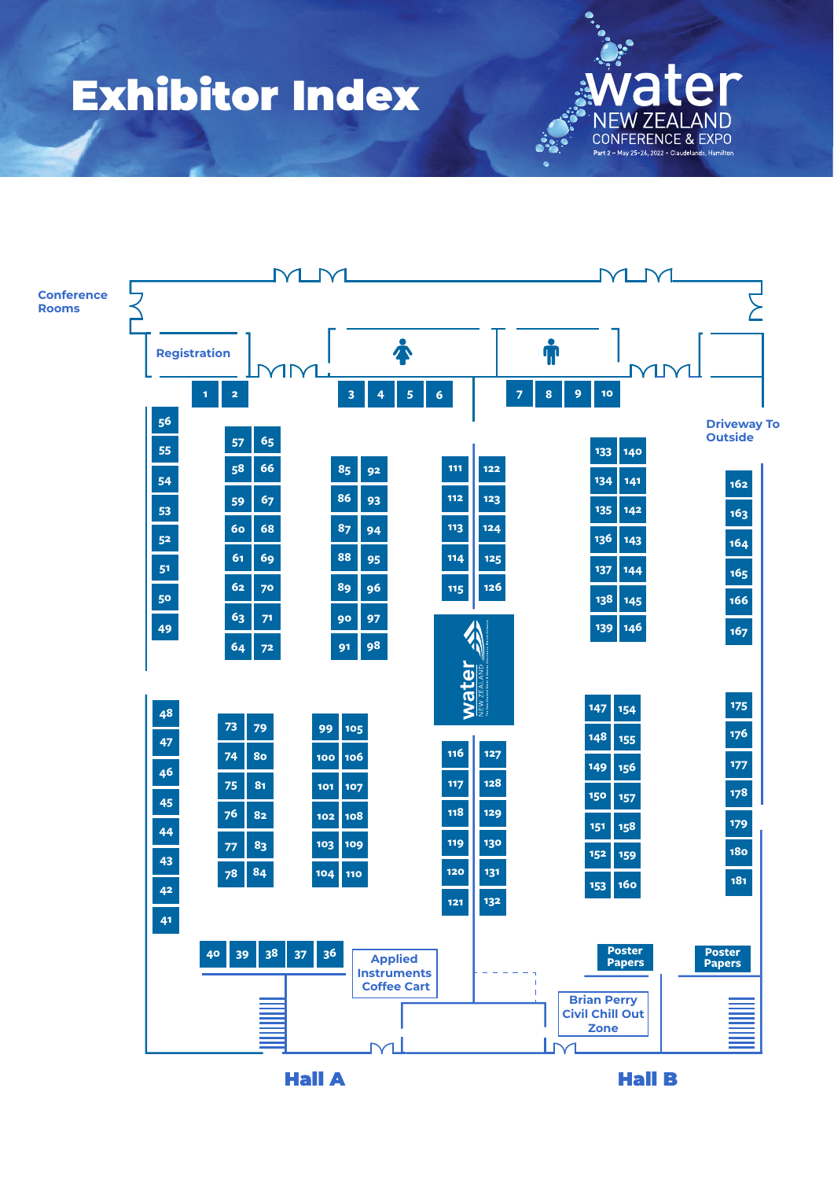Exhibitor Index





Hall A **Hall B**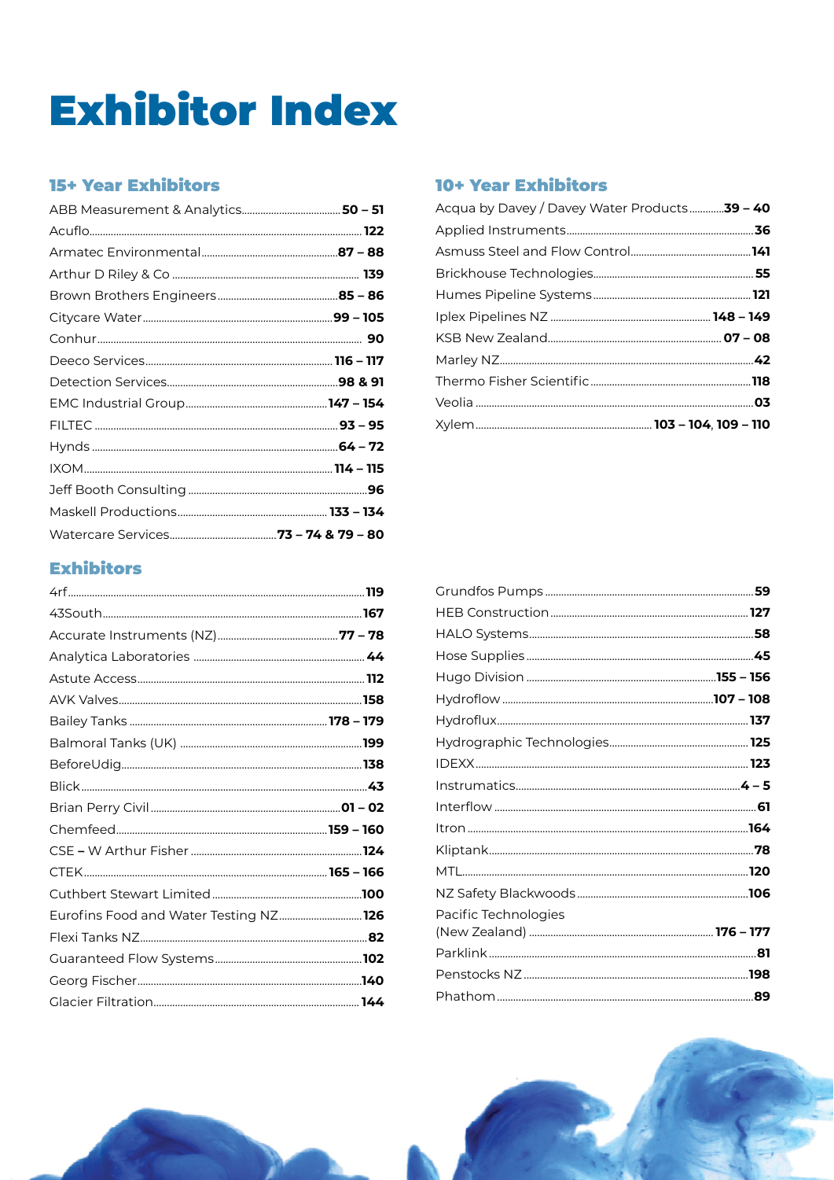# **Exhibitor Index**

#### **15+ Year Exhibitors**

#### **10+ Year Exhibitors**

| Acqua by Davey / Davey Water Products 39 - 40 |  |
|-----------------------------------------------|--|
|                                               |  |
|                                               |  |
|                                               |  |
|                                               |  |
|                                               |  |
|                                               |  |
|                                               |  |
|                                               |  |
|                                               |  |
|                                               |  |
|                                               |  |

### **Exhibitors**

| Eurofins Food and Water Testing NZ 126 |  |
|----------------------------------------|--|
|                                        |  |
|                                        |  |
|                                        |  |
|                                        |  |

| Pacific Technologies |  |
|----------------------|--|
|                      |  |
|                      |  |
|                      |  |
|                      |  |